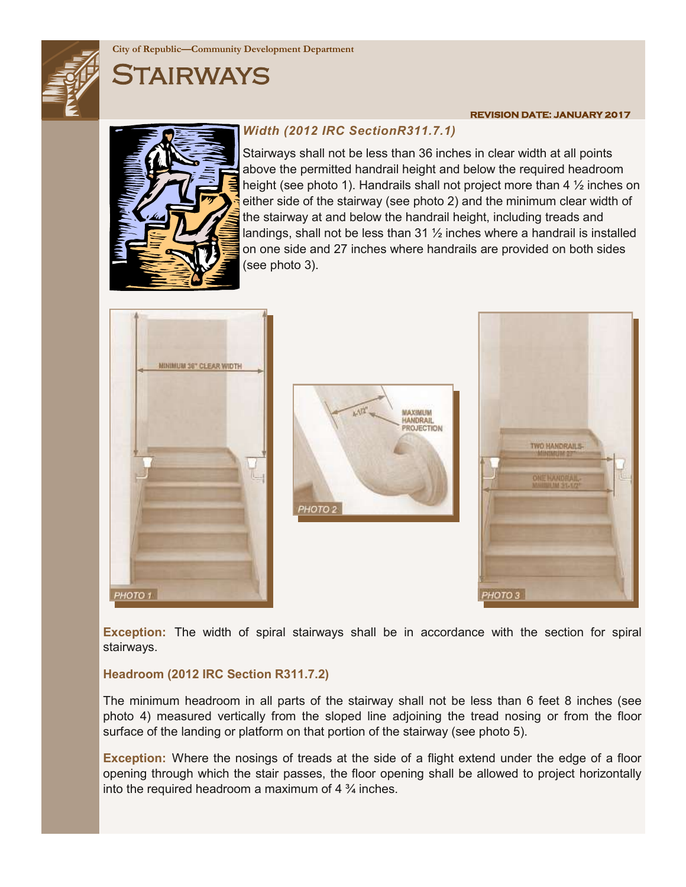

### **City of Republic—Community Development Department**

# Stairways

## *Width (2012 IRC SectionR311.7.1)*

Stairways shall not be less than 36 inches in clear width at all points above the permitted handrail height and below the required headroom height (see photo 1). Handrails shall not project more than 4 ½ inches on either side of the stairway (see photo 2) and the minimum clear width of the stairway at and below the handrail height, including treads and landings, shall not be less than 31 ½ inches where a handrail is installed on one side and 27 inches where handrails are provided on both sides (see photo 3).







**REVISION DATE: JANUARY 2017** 

**Exception:** The width of spiral stairways shall be in accordance with the section for spiral stairways.

#### **Headroom (2012 IRC Section R311.7.2)**

The minimum headroom in all parts of the stairway shall not be less than 6 feet 8 inches (see photo 4) measured vertically from the sloped line adjoining the tread nosing or from the floor surface of the landing or platform on that portion of the stairway (see photo 5).

**Exception:** Where the nosings of treads at the side of a flight extend under the edge of a floor opening through which the stair passes, the floor opening shall be allowed to project horizontally into the required headroom a maximum of  $4\frac{3}{4}$  inches.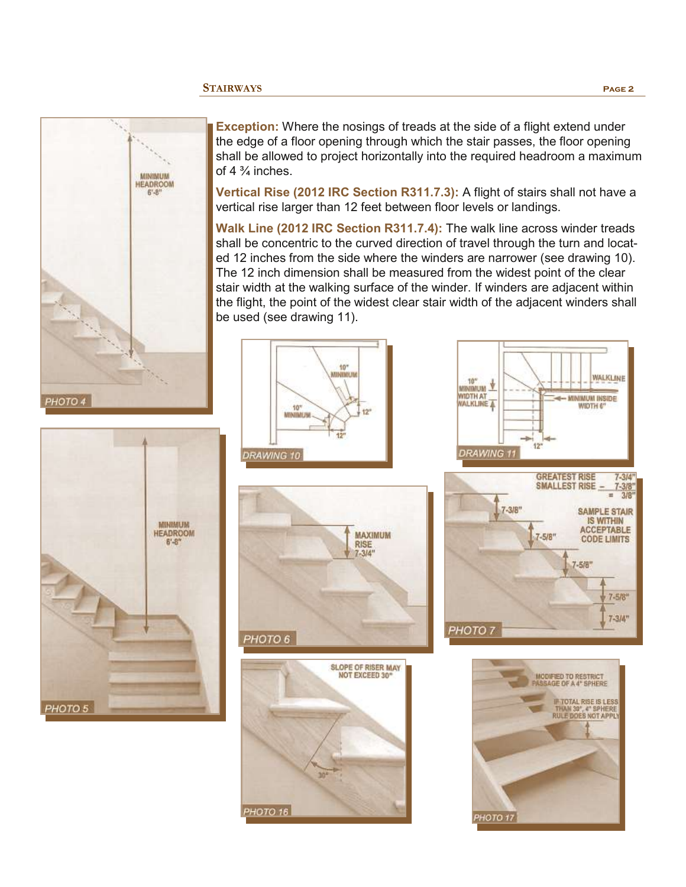



**Exception:** Where the nosings of treads at the side of a flight extend under the edge of a floor opening through which the stair passes, the floor opening shall be allowed to project horizontally into the required headroom a maximum of 4 $\frac{3}{4}$  inches.

**Vertical Rise (2012 IRC Section R311.7.3):** A flight of stairs shall not have a vertical rise larger than 12 feet between floor levels or landings.

**Walk Line (2012 IRC Section R311.7.4):** The walk line across winder treads shall be concentric to the curved direction of travel through the turn and located 12 inches from the side where the winders are narrower (see drawing 10). The 12 inch dimension shall be measured from the widest point of the clear stair width at the walking surface of the winder. If winders are adjacent within the flight, the point of the widest clear stair width of the adjacent winders shall be used (see drawing 11).





**PHOTO 16** 





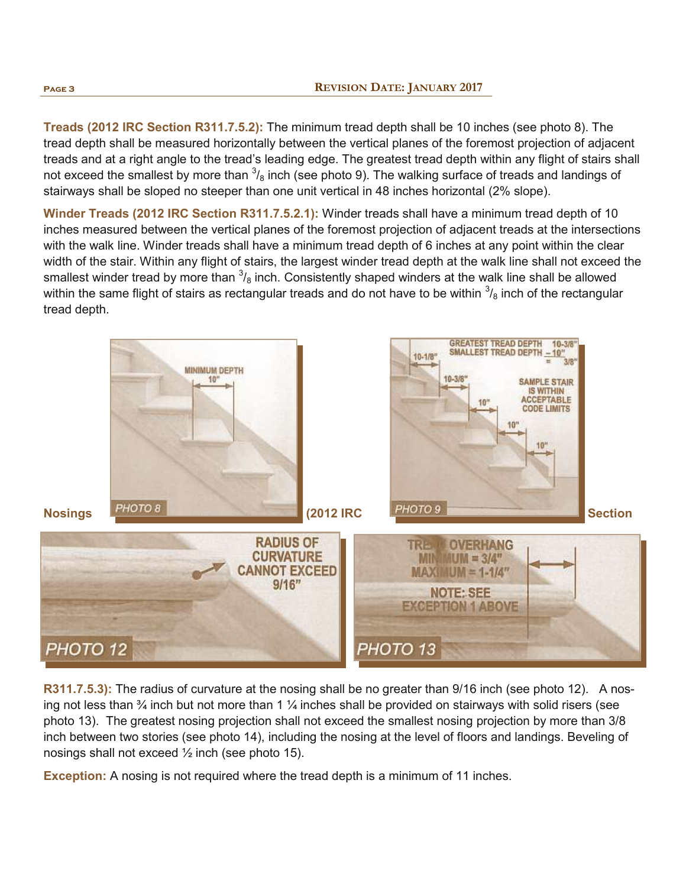**Treads (2012 IRC Section R311.7.5.2):** The minimum tread depth shall be 10 inches (see photo 8). The tread depth shall be measured horizontally between the vertical planes of the foremost projection of adjacent treads and at a right angle to the tread's leading edge. The greatest tread depth within any flight of stairs shall not exceed the smallest by more than  $^3\!/_8$  inch (see photo 9). The walking surface of treads and landings of stairways shall be sloped no steeper than one unit vertical in 48 inches horizontal (2% slope).

**Winder Treads (2012 IRC Section R311.7.5.2.1):** Winder treads shall have a minimum tread depth of 10 inches measured between the vertical planes of the foremost projection of adjacent treads at the intersections with the walk line. Winder treads shall have a minimum tread depth of 6 inches at any point within the clear width of the stair. Within any flight of stairs, the largest winder tread depth at the walk line shall not exceed the smallest winder tread by more than  $\frac{3}{8}$  inch. Consistently shaped winders at the walk line shall be allowed within the same flight of stairs as rectangular treads and do not have to be within  $^3\!/_8$  inch of the rectangular tread depth.



**R311.7.5.3):** The radius of curvature at the nosing shall be no greater than 9/16 inch (see photo 12). A nosing not less than  $\frac{3}{4}$  inch but not more than 1  $\frac{1}{4}$  inches shall be provided on stairways with solid risers (see photo 13). The greatest nosing projection shall not exceed the smallest nosing projection by more than 3/8 inch between two stories (see photo 14), including the nosing at the level of floors and landings. Beveling of nosings shall not exceed  $\frac{1}{2}$  inch (see photo 15).

**Exception:** A nosing is not required where the tread depth is a minimum of 11 inches.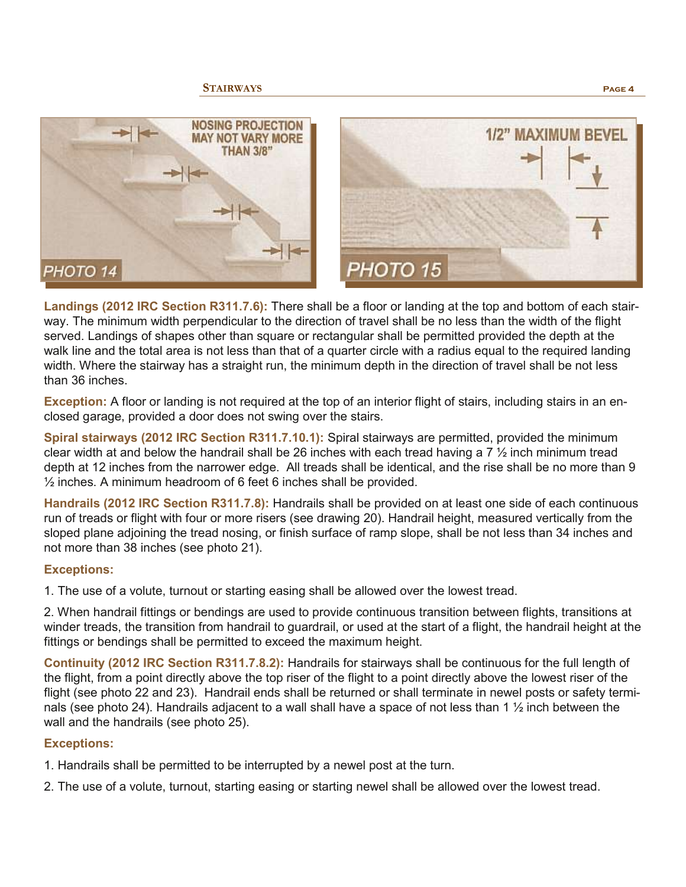



**Landings (2012 IRC Section R311.7.6):** There shall be a floor or landing at the top and bottom of each stairway. The minimum width perpendicular to the direction of travel shall be no less than the width of the flight served. Landings of shapes other than square or rectangular shall be permitted provided the depth at the walk line and the total area is not less than that of a quarter circle with a radius equal to the required landing width. Where the stairway has a straight run, the minimum depth in the direction of travel shall be not less than 36 inches.

**Exception:** A floor or landing is not required at the top of an interior flight of stairs, including stairs in an enclosed garage, provided a door does not swing over the stairs.

**Spiral stairways (2012 IRC Section R311.7.10.1):** Spiral stairways are permitted, provided the minimum clear width at and below the handrail shall be 26 inches with each tread having a 7  $\frac{1}{2}$  inch minimum tread depth at 12 inches from the narrower edge. All treads shall be identical, and the rise shall be no more than 9 ½ inches. A minimum headroom of 6 feet 6 inches shall be provided.

**Handrails (2012 IRC Section R311.7.8):** Handrails shall be provided on at least one side of each continuous run of treads or flight with four or more risers (see drawing 20). Handrail height, measured vertically from the sloped plane adjoining the tread nosing, or finish surface of ramp slope, shall be not less than 34 inches and not more than 38 inches (see photo 21).

#### **Exceptions:**

1. The use of a volute, turnout or starting easing shall be allowed over the lowest tread.

2. When handrail fittings or bendings are used to provide continuous transition between flights, transitions at winder treads, the transition from handrail to guardrail, or used at the start of a flight, the handrail height at the fittings or bendings shall be permitted to exceed the maximum height.

**Continuity (2012 IRC Section R311.7.8.2):** Handrails for stairways shall be continuous for the full length of the flight, from a point directly above the top riser of the flight to a point directly above the lowest riser of the flight (see photo 22 and 23). Handrail ends shall be returned or shall terminate in newel posts or safety terminals (see photo 24). Handrails adjacent to a wall shall have a space of not less than 1  $\frac{1}{2}$  inch between the wall and the handrails (see photo 25).

#### **Exceptions:**

- 1. Handrails shall be permitted to be interrupted by a newel post at the turn.
- 2. The use of a volute, turnout, starting easing or starting newel shall be allowed over the lowest tread.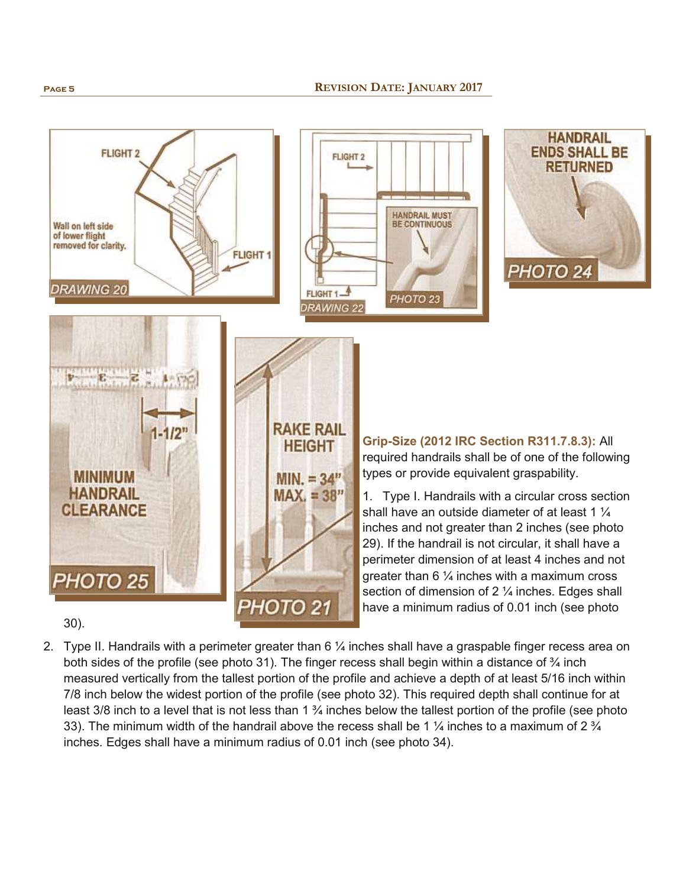

- 30).
- 2. Type II. Handrails with a perimeter greater than  $6\frac{1}{4}$  inches shall have a graspable finger recess area on both sides of the profile (see photo 31). The finger recess shall begin within a distance of  $\frac{3}{4}$  inch measured vertically from the tallest portion of the profile and achieve a depth of at least 5/16 inch within 7/8 inch below the widest portion of the profile (see photo 32). This required depth shall continue for at least 3/8 inch to a level that is not less than 1  $\frac{3}{4}$  inches below the tallest portion of the profile (see photo 33). The minimum width of the handrail above the recess shall be 1  $\frac{1}{4}$  inches to a maximum of 2  $\frac{3}{4}$ inches. Edges shall have a minimum radius of 0.01 inch (see photo 34).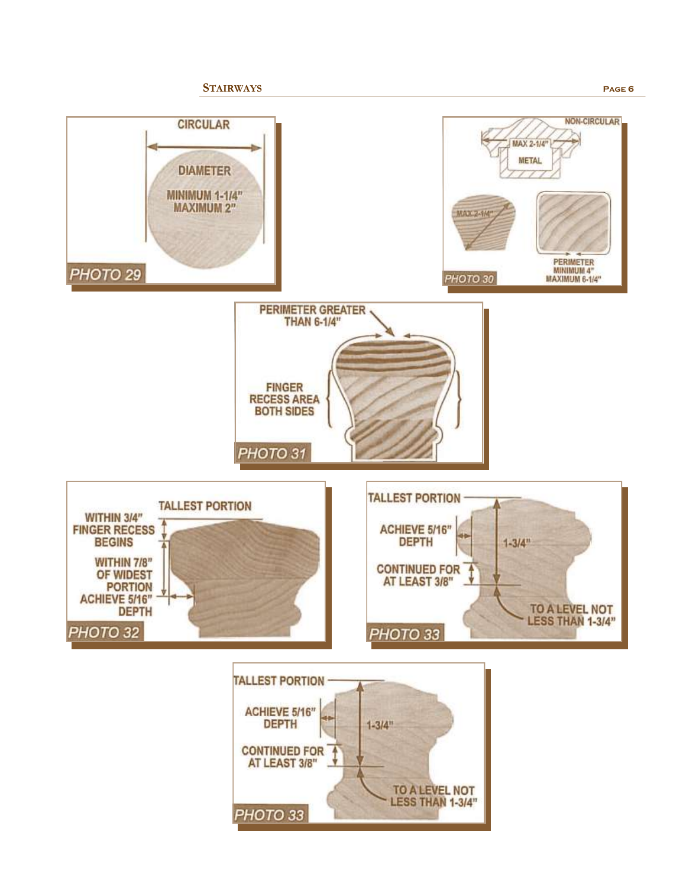

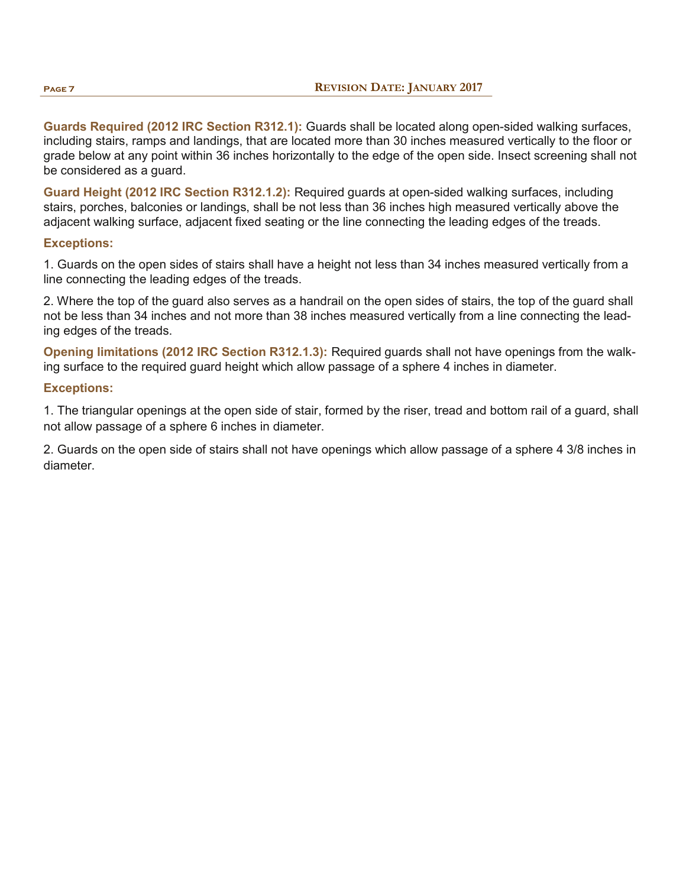**Guards Required (2012 IRC Section R312.1):** Guards shall be located along open-sided walking surfaces, including stairs, ramps and landings, that are located more than 30 inches measured vertically to the floor or grade below at any point within 36 inches horizontally to the edge of the open side. Insect screening shall not be considered as a guard.

**Guard Height (2012 IRC Section R312.1.2):** Required guards at open-sided walking surfaces, including stairs, porches, balconies or landings, shall be not less than 36 inches high measured vertically above the adjacent walking surface, adjacent fixed seating or the line connecting the leading edges of the treads.

### **Exceptions:**

1. Guards on the open sides of stairs shall have a height not less than 34 inches measured vertically from a line connecting the leading edges of the treads.

2. Where the top of the guard also serves as a handrail on the open sides of stairs, the top of the guard shall not be less than 34 inches and not more than 38 inches measured vertically from a line connecting the leading edges of the treads.

**Opening limitations (2012 IRC Section R312.1.3):** Required guards shall not have openings from the walking surface to the required guard height which allow passage of a sphere 4 inches in diameter.

#### **Exceptions:**

1. The triangular openings at the open side of stair, formed by the riser, tread and bottom rail of a guard, shall not allow passage of a sphere 6 inches in diameter.

2. Guards on the open side of stairs shall not have openings which allow passage of a sphere 4 3/8 inches in diameter.